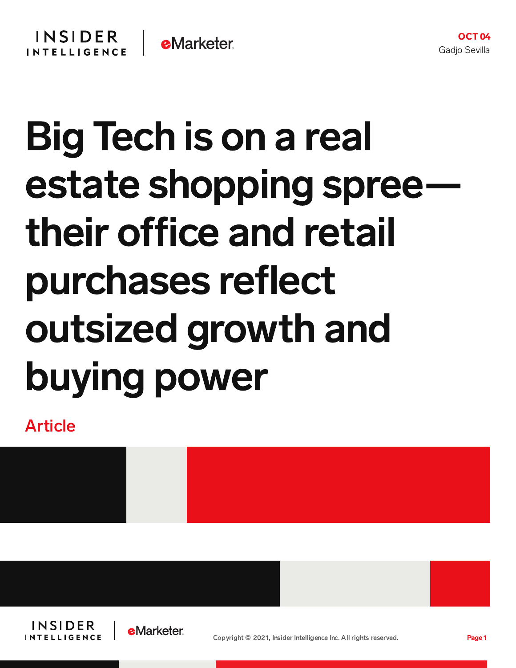## Big Tech is on a real estate shopping spreetheir office and retail purchases reflect outsized growth and buying power

Article





OCT 04

Gadjo Sevilla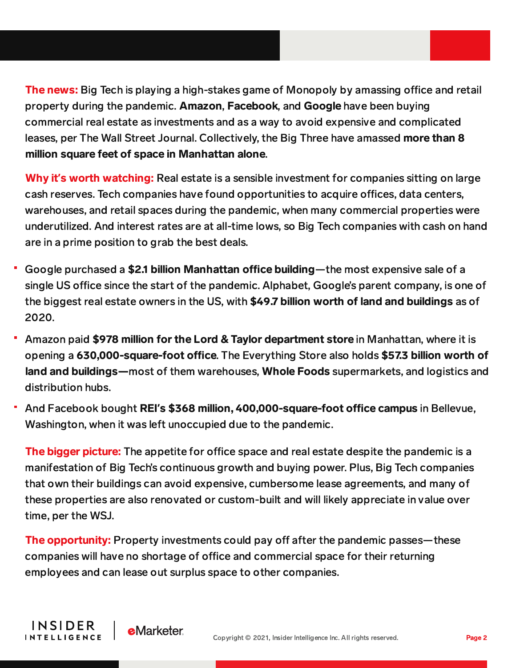The news: Big Tech is playing a high-stakes game of Monopoly by amassing office and retail property during the pandemic. Amazon, Facebook, and Google have been buying commercial real estate as investments and as a way to avoid expensive and complicated leases, per The Wall Street Journal. Collectively, the Big Three have amassed more than 8 million square feet of space in Manhattan alone.

Why it's worth watching: Real estate is a sensible investment for companies sitting on large cash reserves. Tech companies have found opportunities to acquire offices, data centers, warehouses, and retail spaces during the pandemic, when many commercial properties were underutilized. And interest rates are at all-time lows, so Big Tech companies with cash on hand are in a prime position to grab the best deals.

- Google purchased a \$2.1 billion Manhattan office building—the most expensive sale of a single US office since the start of the pandemic. Alphabet, Google's parent company, is one of the biggest real estate owners in the US, with \$49.7 billion worth of land and buildings as of 2020.
- <sup>-</sup> Amazon paid \$978 million for the Lord & Taylor department store in Manhattan, where it is opening a 630,000-square-foot office. The Everything Store also holds \$57.3 billion worth of land and buildings—most of them warehouses, Whole Foods supermarkets, and logistics and distribution hubs.
- And Facebook bought REI's \$368 million, 400,000-square-foot office campus in Bellevue, Washington, when it was left unoccupied due to the pandemic.

The bigger picture: The appetite for office space and real estate despite the pandemic is a manifestation of Big Tech's continuous growth and buying power. Plus, Big Tech companies that own their buildings can avoid expensive, cumbersome lease agreements, and many of these properties are also renovated or custom-built and will likely appreciate in value over time, per the WSJ.

The opportunity: Property investments could pay off after the pandemic passes—these companies will have no shortage of office and commercial space for their returning employees and can lease out surplus space to other companies.

**INSIDER** 

**INTELLIGENCE** 

**e**Marketer